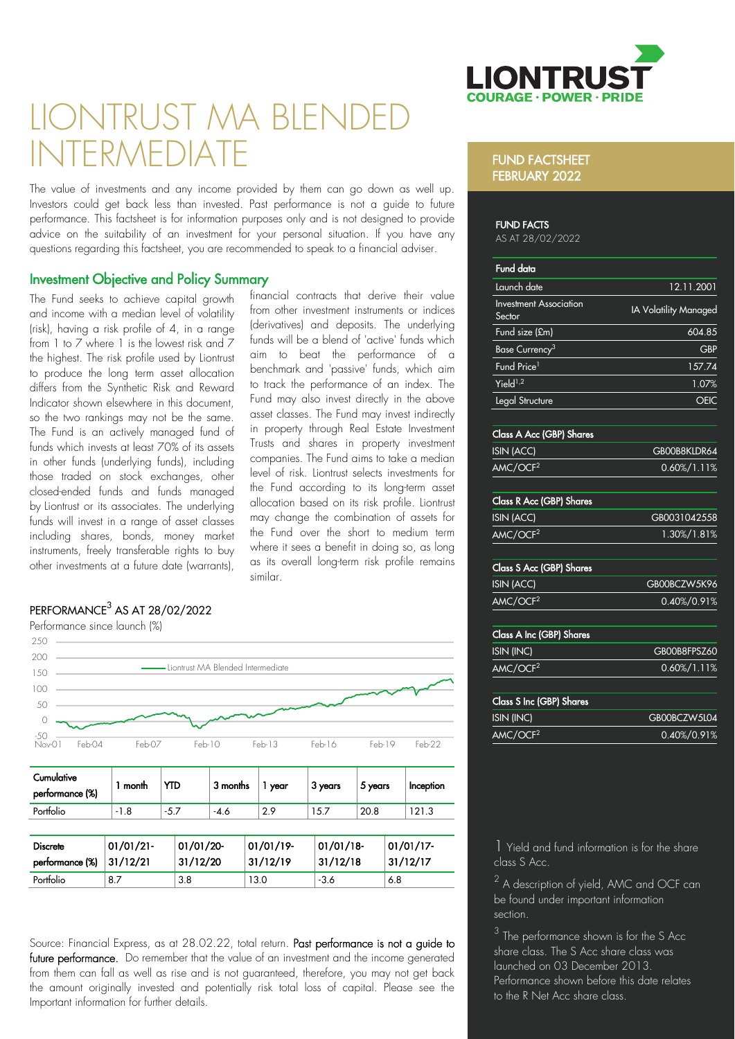

# LIONTRUST MA BLEND NITERMEDIAT

The value of investments and any income provided by them can go down as well up. Investors could get back less than invested. Past performance is not a guide to future performance. This factsheet is for information purposes only and is not designed to provide advice on the suitability of an investment for your personal situation. If you have any questions regarding this factsheet, you are recommended to speak to a financial adviser.

### Investment Objective and Policy Summary

The Fund seeks to achieve capital growth and income with a median level of volatility (risk), having a risk profile of 4, in a range from 1 to  $\overline{7}$  where 1 is the lowest risk and  $\overline{7}$ the highest. The risk profile used by Liontrust to produce the long term asset allocation differs from the Synthetic Risk and Reward Indicator shown elsewhere in this document, so the two rankings may not be the same. The Fund is an actively managed fund of funds which invests at least 70% of its assets in other funds (underlying funds), including those traded on stock exchanges, other closed-ended funds and funds managed by Liontrust or its associates. The underlying funds will invest in a range of asset classes including shares, bonds, money market instruments, freely transferable rights to buy other investments at a future date (warrants),

financial contracts that derive their value from other investment instruments or indices (derivatives) and deposits. The underlying funds will be a blend of 'active' funds which aim to beat the performance of a benchmark and 'passive' funds, which aim to track the performance of an index. The Fund may also invest directly in the above asset classes. The Fund may invest indirectly in property through Real Estate Investment Trusts and shares in property investment companies. The Fund aims to take a median level of risk. Liontrust selects investments for the Fund according to its long-term asset allocation based on its risk profile. Liontrust may change the combination of assets for the Fund over the short to medium term where it sees a benefit in doing so, as long as its overall long-term risk profile remains similar.

## $\mathsf{PERFORMANCE}^3$  AS AT 28/02/2022

Performance since launch (%)



Source: Financial Express, as at 28.02.22, total return. Past performance is not a guide to future performance. Do remember that the value of an investment and the income generated from them can fall as well as rise and is not guaranteed, therefore, you may not get back the amount originally invested and potentially risk total loss of capital. Please see the Important information for further details.

#### FUND FACTSHEET FEBRUARY 2022

#### FUND FACTS

AS AT 28/02/2022

| Fund data                               |                       |
|-----------------------------------------|-----------------------|
| Launch date                             | 12.11.2001            |
| <b>Investment Association</b><br>Sector | IA Volatility Managed |
| Fund size (£m)                          | 604.85                |
| Base Currency <sup>3</sup>              | <b>GBP</b>            |
| Fund Price <sup>1</sup>                 | 157.74                |
| Yield <sup>1,2</sup>                    | 1.07%                 |
| Legal Structure                         |                       |
|                                         |                       |

#### Class A Acc (GBP) Shares

| ISIN (ACC)           | GBOOB8KLDR64    |
|----------------------|-----------------|
| AMC/OCF <sup>2</sup> | $0.60\%/1.11\%$ |

## Class R Acc (GBP) Shares

| ISIN (ACC)           | GB0031042558 |
|----------------------|--------------|
| AMC/OCF <sup>2</sup> | 1.30%/1.81%  |

#### Class S Acc (GBP) Shares

| ISIN (ACC)           | GB00BCZW5K96    |
|----------------------|-----------------|
| AMC/OCF <sup>2</sup> | $0.40\%/0.91\%$ |

# Class A Inc (GBP) Shares

|                      | GB00B8FPSZ60    |
|----------------------|-----------------|
| AMC/OCF <sup>2</sup> | $0.60\%/1.11\%$ |

| <b>Class S Inc (GBP) Shares</b> |              |
|---------------------------------|--------------|
| ISIN (INC)                      | GB00BCZW5L04 |
| AMC/OCF <sup>2</sup>            | 0.40%/0.91%  |

1 Yield and fund information is for the share class S Acc.

 $^2$  A description of yield, AMC and OCF can be found under important information section.

 $3$  The performance shown is for the S Acc share class. The S Acc share class was launched on 03 December 2013. Performance shown before this date relates to the R Net Acc share class.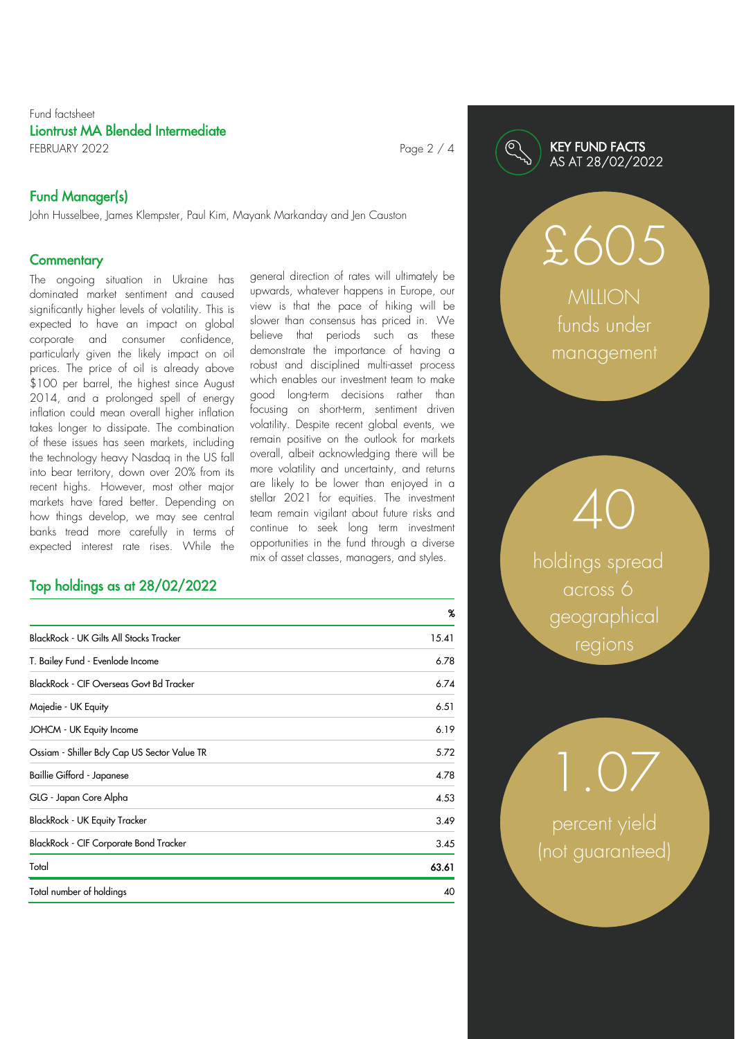#### Fund factsheet Liontrust MA Blended Intermediate FEBRUARY 2022 Page 2 / 4

## Fund Manager(s)

John Husselbee, James Klempster, Paul Kim, Mayank Markanday and Jen Causton

#### **Commentary**

The ongoing situation in Ukraine has dominated market sentiment and caused significantly higher levels of volatility. This is expected to have an impact on global corporate and consumer confidence, particularly given the likely impact on oil prices. The price of oil is already above \$100 per barrel, the highest since August 2014, and a prolonged spell of energy inflation could mean overall higher inflation takes longer to dissipate. The combination of these issues has seen markets, including the technology heavy Nasdaq in the US fall into bear territory, down over 20% from its recent highs. However, most other major markets have fared better. Depending on how things develop, we may see central banks tread more carefully in terms of expected interest rate rises. While the

## Top holdings as at 28/02/2022

general direction of rates will ultimately be upwards, whatever happens in Europe, our view is that the pace of hiking will be slower than consensus has priced in. We believe that periods such as these demonstrate the importance of having a robust and disciplined multi-asset process which enables our investment team to make good long-term decisions rather than focusing on short-term, sentiment driven volatility. Despite recent global events, we remain positive on the outlook for markets overall, albeit acknowledging there will be more volatility and uncertainty, and returns are likely to be lower than enjoyed in a stellar 2021 for equities. The investment team remain vigilant about future risks and continue to seek long term investment opportunities in the fund through a diverse mix of asset classes, managers, and styles.

|                                                | %     |
|------------------------------------------------|-------|
| <b>BlackRock - UK Gilts All Stocks Tracker</b> | 15.41 |
| T. Bailey Fund - Evenlode Income               | 6.78  |
| BlackRock - CIF Overseas Govt Bd Tracker       | 6.74  |
| Majedie - UK Equity                            | 6.51  |
| JOHCM - UK Equity Income                       | 6.19  |
| Ossiam - Shiller Bely Cap US Sector Value TR   | 5.72  |
| Baillie Gifford - Japanese                     | 4.78  |
| GLG - Japan Core Alpha                         | 4.53  |
| <b>BlackRock - UK Equity Tracker</b>           | 3.49  |
| BlackRock - CIF Corporate Bond Tracker         | 3.45  |
| Total                                          | 63.61 |
| Total number of holdings                       | 40    |

#### KEY FUND FACTS AS AT 28/02/2022

**MILION** funds under management

£605

holdings spread across 6 geographical regions

40

percent yield (not guaranteed)

1.07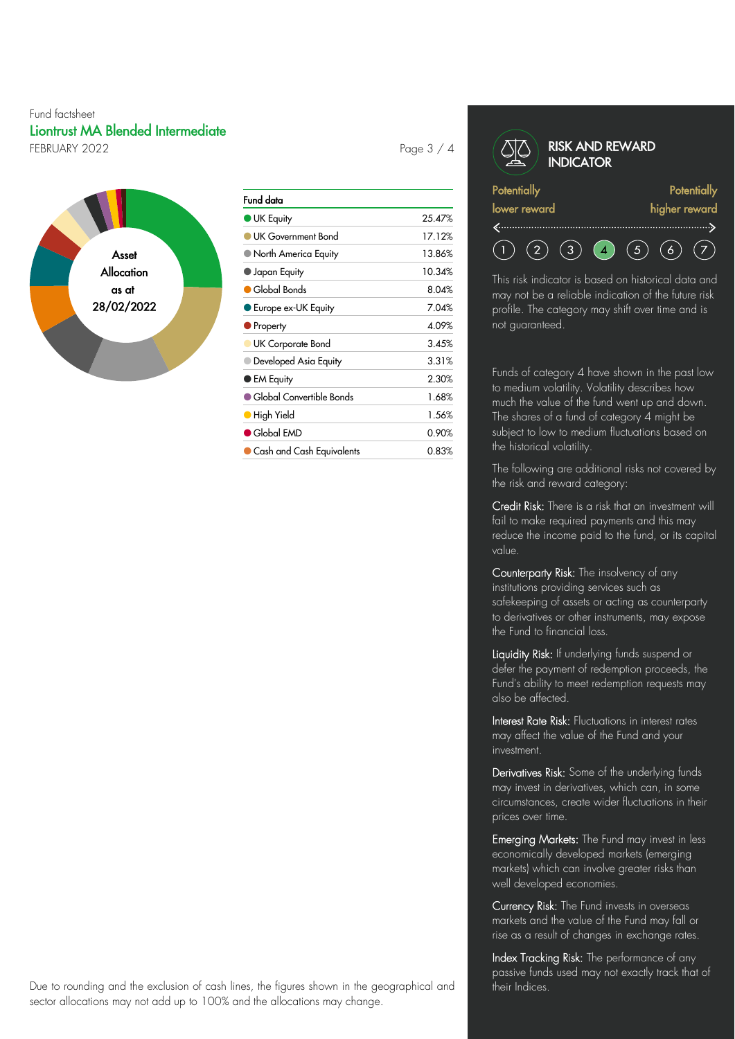#### Fund factsheet Liontrust MA Blended Intermediate FEBRUARY 2022 **Page 3 / 4**



| Fund data                          |        |
|------------------------------------|--------|
| <b>UK Equity</b>                   | 25.47% |
| UK Government Bond                 | 17.12% |
| ■ North America Equity             | 13.86% |
| $\bullet$ Japan Equity             | 10.34% |
| Global Bonds                       | 8.04%  |
| Europe ex-UK Equity                | 7.04%  |
| Property                           | 4.09%  |
| UK Corporate Bond                  | 3.45%  |
| Developed Asia Equity              | 3.31%  |
| ● EM Equity                        | 2.30%  |
| $\bullet$ Global Convertible Bonds | 1.68%  |
| High Yield                         | 1.56%  |
| $\bullet$ Global EMD               | 0.90%  |
| Cash and Cash Equivalents          | 0.83%  |

| <b>RISK AND REWARD</b><br><b>INDICATOR</b> |               |
|--------------------------------------------|---------------|
| <b>Potentially</b>                         | Potentially   |
| lower reward                               | higher reward |
|                                            |               |
|                                            |               |

This risk indicator is based on historical data and may not be a reliable indication of the future risk profile. The category may shift over time and is not guaranteed.

Funds of category 4 have shown in the past low to medium volatility. Volatility describes how much the value of the fund went up and down. The shares of a fund of category 4 might be subject to low to medium fluctuations based on the historical volatility.

The following are additional risks not covered by the risk and reward category:

Credit Risk: There is a risk that an investment will fail to make required payments and this may reduce the income paid to the fund, or its capital value.

Counterparty Risk: The insolvency of any institutions providing services such as safekeeping of assets or acting as counterparty to derivatives or other instruments, may expose the Fund to financial loss.

Liquidity Risk: If underlying funds suspend or defer the payment of redemption proceeds, the Fund's ability to meet redemption requests may also be affected.

Interest Rate Risk: Fluctuations in interest rates may affect the value of the Fund and your investment.

Derivatives Risk: Some of the underlying funds may invest in derivatives, which can, in some circumstances, create wider fluctuations in their prices over time.

Emerging Markets: The Fund may invest in less economically developed markets (emerging markets) which can involve greater risks than well developed economies.

Currency Risk: The Fund invests in overseas markets and the value of the Fund may fall or rise as a result of changes in exchange rates.

Index Tracking Risk: The performance of any passive funds used may not exactly track that of their Indices.

Due to rounding and the exclusion of cash lines, the figures shown in the geographical and sector allocations may not add up to 100% and the allocations may change.